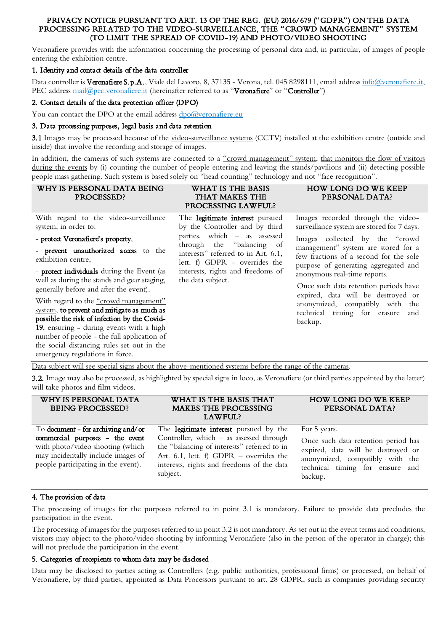#### PRIVACY NOTICE PURSUANT TO ART. 13 OF THE REG. (EU) 2016/679 ("GDPR") ON THE DATA PROCESSING RELATED TO THE VIDEO-SURVEILLANCE, THE "CROWD MANAGEMENT" SYSTEM (TO LIMIT THE SPREAD OF COVID-19) AND PHOTO/VIDEO SHOOTING

Veronafiere provides with the information concerning the processing of personal data and, in particular, of images of people entering the exhibition centre.

# 1. Identity and contact details of the data controller

Data controller is Veronafiere S.p.A., Viale del Lavoro, 8, 37135 - Verona, tel. 045 8298111, email address [info@veronafiere.it,](mailto:info@veronafiere.it) PEC address [mail@pec.veronafiere.it](mailto:mail@pec.veronafiere.it) (hereinafter referred to as "Veronafiere" or "Controller")

### 2. Contact details of the data protection officer (DPO)

You can contact the DPO at the email address  $\frac{dpo@veronafiere.eu}{dpo@veronafiere.eu}$ 

### 3. Data processing purposes, legal basis and data retention

3.1 Images may be processed because of the video-surveillance systems (CCTV) installed at the exhibition centre (outside and inside) that involve the recording and storage of images.

In addition, the cameras of such systems are connected to a "crowd management" system, that monitors the flow of visitors during the events by (i) counting the number of people entering and leaving the stands/pavilions and (ii) detecting possible people mass gathering. Such system is based solely on "head counting" technology and not "face recognition".

| With regard to the video-surveillance<br>The legitimate interest pursued<br>Images recorded through the video-<br>surveillance system are stored for 7 days.<br>system, in order to:<br>by the Controller and by third<br>parties, which – as assessed<br>Images collected by the "crowd<br>- protect Veronafiere's property,<br>through the "balancing of<br>management" system are stored for a<br>- prevent unauthorized access to the<br>interests" referred to in Art. 6.1,<br>few fractions of a second for the sole<br>exhibition centre,<br>lett. f) GDPR - overrides the<br>purpose of generating aggregated and<br>interests, rights and freedoms of<br>- protect individuals during the Event (as<br>anonymous real-time reports.<br>the data subject.<br>well as during the stands and gear staging,<br>Once such data retention periods have<br>generally before and after the event).<br>expired, data will be destroyed or<br>With regard to the "crowd management"<br>anonymized, compatibly with the<br>system, to prevent and mitigate as much as<br>technical timing for erasure<br>and<br>possible the risk of infection by the Covid-<br>backup.<br>19, ensuring - during events with a high<br>number of people - the full application of<br>the social distancing rules set out in the<br>emergency regulations in force. | WHY IS PERSONAL DATA BEING<br>PROCESSED? | WHAT IS THE BASIS<br>THAT MAKES THE<br>PROCESSING LAWFUL? | <b>HOW LONG DO WE KEEP</b><br>PERSONAL DATA? |
|--------------------------------------------------------------------------------------------------------------------------------------------------------------------------------------------------------------------------------------------------------------------------------------------------------------------------------------------------------------------------------------------------------------------------------------------------------------------------------------------------------------------------------------------------------------------------------------------------------------------------------------------------------------------------------------------------------------------------------------------------------------------------------------------------------------------------------------------------------------------------------------------------------------------------------------------------------------------------------------------------------------------------------------------------------------------------------------------------------------------------------------------------------------------------------------------------------------------------------------------------------------------------------------------------------------------------------------------------|------------------------------------------|-----------------------------------------------------------|----------------------------------------------|
|                                                                                                                                                                                                                                                                                                                                                                                                                                                                                                                                                                                                                                                                                                                                                                                                                                                                                                                                                                                                                                                                                                                                                                                                                                                                                                                                                  |                                          |                                                           |                                              |

Data subject will see special signs about the above-mentioned systems before the range of the cameras.

3.2. Image may also be processed, as highlighted by special signs in loco, as Veronafiere (or third parties appointed by the latter) will take photos and film videos.

| WHY IS PERSONAL DATA<br><b>BEING PROCESSED?</b>                                                                                                                                        | WHAT IS THE BASIS THAT<br>MAKES THE PROCESSING<br>LAWFUL?                                                                                                                                                                               | <b>HOW LONG DO WE KEEP</b><br>PERSONAL DATA?                                                                                                                                |
|----------------------------------------------------------------------------------------------------------------------------------------------------------------------------------------|-----------------------------------------------------------------------------------------------------------------------------------------------------------------------------------------------------------------------------------------|-----------------------------------------------------------------------------------------------------------------------------------------------------------------------------|
| To document - for archiving and/or<br>commercial purposes - the event<br>with photo/video shooting (which<br>may incidentally include images of<br>people participating in the event). | The legitimate interest pursued by the<br>Controller, which $-$ as assessed through<br>the "balancing of interests" referred to in<br>Art. 6.1, lett. f) GDPR - overrides the<br>interests, rights and freedoms of the data<br>subject. | For 5 years.<br>Once such data retention period has<br>expired, data will be destroyed or<br>anonymized, compatibly with the<br>technical timing for erasure and<br>backup. |

## 4. The provision of data

The processing of images for the purposes referred to in point 3.1 is mandatory. Failure to provide data precludes the participation in the event.

The processing of images for the purposes referred to in point 3.2 is not mandatory. As set out in the event terms and conditions, visitors may object to the photo/video shooting by informing Veronafiere (also in the person of the operator in charge); this will not preclude the participation in the event.

## 5. Categories of recepients to whom data may be disclosed

Data may be disclosed to parties acting as Controllers (e.g. public authorities, professional firms) or processed, on behalf of Veronafiere, by third parties, appointed as Data Processors pursuant to art. 28 GDPR, such as companies providing security